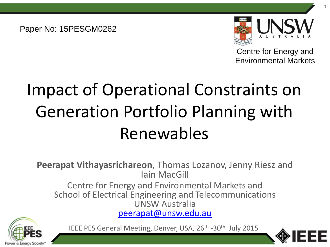Paper No: 15PESGM0262



1

Centre for Energy and Environmental Markets

# Impact of Operational Constraints on Generation Portfolio Planning with Renewables

**Peerapat Vithayasrichareon**, Thomas Lozanov, Jenny Riesz and Iain MacGill

Centre for Energy and Environmental Markets and School of Electrical Engineering and Telecommunications UNSW Australia [peerapat@unsw.edu.au](mailto:peerapat@unsw.edu.au)



IEEE PES General Meeting, Denver, USA, 26<sup>th</sup> -30<sup>th</sup> July 2015

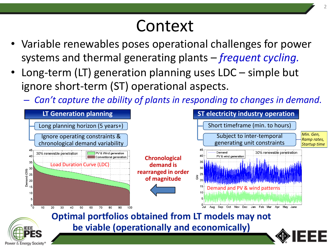# Context

- Variable renewables poses operational challenges for power systems and thermal generating plants – *frequent cycling.*
- Long-term (LT) generation planning uses LDC simple but ignore short-term (ST) operational aspects.

Power & Energy Society

– *Can't capture the ability of plants in responding to changes in demand.*

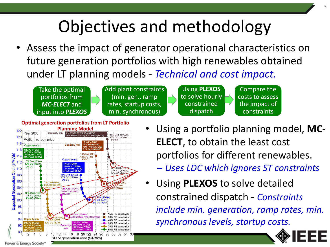# Objectives and methodology

Assess the impact of generator operational characteristics on future generation portfolios with high renewables obtained under LT planning models - *Technical and cost impact.*

Take the optimal portfolios from *MC-ELECT* and input into *PLEXOS* Add plant constraints (min. gen., ramp rates, startup costs, min. synchronous)

Using **PLEXOS** to solve hourly constrained dispatch

Compare the costs to assess the impact of constraints



- Using a portfolio planning model, **MC-ELECT**, to obtain the least cost portfolios for different renewables.
	- *Uses LDC which ignores ST constraints*
- Using **PLEXOS** to solve detailed constrained dispatch - *Constraints include min. generation, ramp rates, min. synchronous levels, startup costs.*

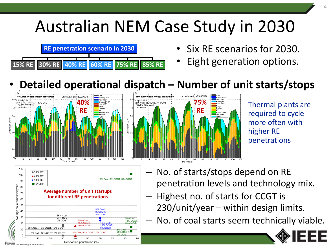### Australian NEM Case Study in 2030



- Six RE scenarios for 2030.
- Eight generation options.

#### • **Detailed operational dispatch – Number of unit starts/stops**





Thermal plants are required to cycle more often with higher RE penetrations



- No. of starts/stops depend on RE penetration levels and technology mix.
- Highest no. of starts for CCGT is 230/unit/year – within design limits.
- No. of coal starts seem technically viable.

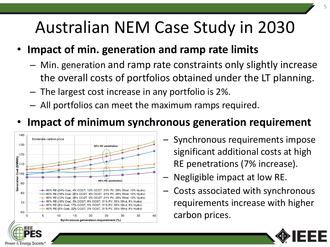# Australian NEM Case Study in 2030

#### • **Impact of min. generation and ramp rate limits**

- Min. generation and ramp rate constraints only slightly increase the overall costs of portfolios obtained under the LT planning.
- The largest cost increase in any portfolio is 2%.
- All portfolios can meet the maximum ramps required.

#### • **Impact of minimum synchronous generation requirement**



Power & Energy Socie

- Synchronous requirements impose significant additional costs at high RE penetrations (7% increase).
- Negligible impact at low RE.
- Costs associated with synchronous requirements increase with higher carbon prices.